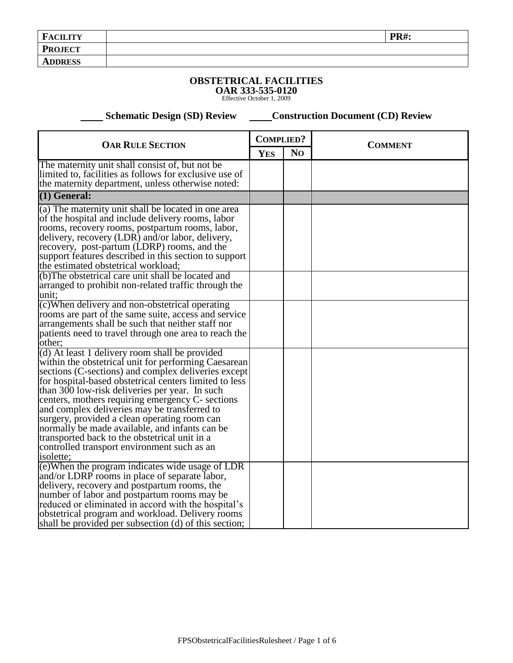## **OBSTETRICAL FACILITIES**

**OAR 333-535-0120** Effective October 1, 2009

**Schematic Design (SD) Review Construction Document (CD) Review** 

| <b>OAR RULE SECTION</b>                                                                                                                                                                                                                                                                                                                                                                                                                                                                                                                                                                      |            | <b>COMPLIED?</b> | <b>COMMENT</b> |
|----------------------------------------------------------------------------------------------------------------------------------------------------------------------------------------------------------------------------------------------------------------------------------------------------------------------------------------------------------------------------------------------------------------------------------------------------------------------------------------------------------------------------------------------------------------------------------------------|------------|------------------|----------------|
|                                                                                                                                                                                                                                                                                                                                                                                                                                                                                                                                                                                              | <b>YES</b> | N <sub>O</sub>   |                |
| The maternity unit shall consist of, but not be<br>limited to, facilities as follows for exclusive use of<br>the maternity department, unless otherwise noted:                                                                                                                                                                                                                                                                                                                                                                                                                               |            |                  |                |
| $(1)$ General:                                                                                                                                                                                                                                                                                                                                                                                                                                                                                                                                                                               |            |                  |                |
| (a) The maternity unit shall be located in one area<br>of the hospital and include delivery rooms, labor<br>rooms, recovery rooms, postpartum rooms, labor,<br>delivery, recovery (LDR) and/or labor, delivery,<br>recovery, post-partum (LDRP) rooms, and the<br>support features described in this section to support<br>the estimated obstetrical workload;                                                                                                                                                                                                                               |            |                  |                |
| (b) The obstetrical care unit shall be located and<br>arranged to prohibit non-related traffic through the<br>unit;                                                                                                                                                                                                                                                                                                                                                                                                                                                                          |            |                  |                |
| (c) When delivery and non-obstetrical operating<br>rooms are part of the same suite, access and service<br>arrangements shall be such that neither staff nor<br>patients need to travel through one area to reach the<br>other;                                                                                                                                                                                                                                                                                                                                                              |            |                  |                |
| (d) At least 1 delivery room shall be provided<br>within the obstetrical unit for performing Caesarean<br>sections (C-sections) and complex deliveries except<br>for hospital-based obstetrical centers limited to less<br>than 300 low-risk deliveries per year. In such<br>centers, mothers requiring emergency C- sections<br>and complex deliveries may be transferred to<br>surgery, provided a clean operating room can<br>normally be made available, and infants can be<br>transported back to the obstetrical unit in a<br>controlled transport environment such as an<br>isolette; |            |                  |                |
| (e) When the program indicates wide usage of LDR<br>and/or LDRP rooms in place of separate labor,<br>delivery, recovery and postpartum rooms, the<br>number of labor and postpartum rooms may be<br>reduced or eliminated in accord with the hospital's<br>obstetrical program and workload. Delivery rooms<br>shall be provided per subsection (d) of this section;                                                                                                                                                                                                                         |            |                  |                |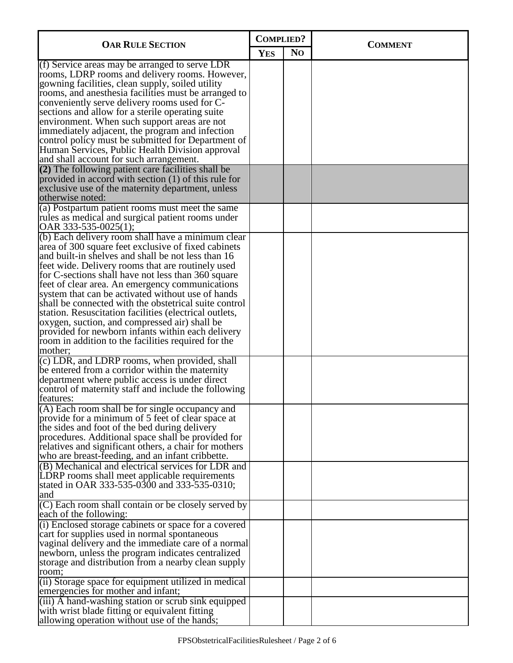| <b>OAR RULE SECTION</b>                                                                                                                                                                                                                                                                                                                                                                                                                                                                                                                                                                                                                                                                                                                                              | <b>COMPLIED?</b> |                | <b>COMMENT</b> |  |
|----------------------------------------------------------------------------------------------------------------------------------------------------------------------------------------------------------------------------------------------------------------------------------------------------------------------------------------------------------------------------------------------------------------------------------------------------------------------------------------------------------------------------------------------------------------------------------------------------------------------------------------------------------------------------------------------------------------------------------------------------------------------|------------------|----------------|----------------|--|
|                                                                                                                                                                                                                                                                                                                                                                                                                                                                                                                                                                                                                                                                                                                                                                      | <b>YES</b>       | N <sub>O</sub> |                |  |
| (f) Service areas may be arranged to serve LDR<br>rooms, LDRP rooms and delivery rooms. However,<br>gowning facilities, clean supply, soiled utility<br>rooms, and an esthesia facilities must be arranged to<br>conveniently serve delivery rooms used for C-<br>sections and allow for a sterile operating suite<br>environment. When such support areas are not<br>immediately adjacent, the program and infection<br>control policy must be submitted for Department of<br>Human Services, Public Health Division approval<br>and shall account for such arrangement.<br>$(2)$ The following patient care facilities shall be<br>provided in accord with section $(1)$ of this rule for<br>exclusive use of the maternity department, unless<br>otherwise noted: |                  |                |                |  |
| (a) Postpartum patient rooms must meet the same<br>rules as medical and surgical patient rooms under<br>OAR 333-535-0025(1);                                                                                                                                                                                                                                                                                                                                                                                                                                                                                                                                                                                                                                         |                  |                |                |  |
| (b) Each delivery room shall have a minimum clear<br>area of 300 square feet exclusive of fixed cabinets<br>and built-in shelves and shall be not less than 16<br>feet wide. Delivery rooms that are routinely used<br>for C-sections shall have not less than 360 square<br>feet of clear area. An emergency communications<br>system that can be activated without use of hands<br>shall be connected with the obstetrical suite control<br>station. Resuscitation facilities (electrical outlets,<br>oxygen, suction, and compressed air) shall be<br>provided for newborn infants within each delivery<br>room in addition to the facilities required for the<br>mother;                                                                                         |                  |                |                |  |
| $(c)$ LDR, and LDRP rooms, when provided, shall<br>be entered from a corridor within the maternity<br>department where public access is under direct<br>control of maternity staff and include the following<br>features:                                                                                                                                                                                                                                                                                                                                                                                                                                                                                                                                            |                  |                |                |  |
| $\overline{(A)}$ Each room shall be for single occupancy and<br>provide for a minimum of 5 feet of clear space at<br>the sides and foot of the bed during delivery<br>procedures. Additional space shall be provided for<br>relatives and significant others, a chair for mothers<br>who are breast-feeding, and an infant cribbette.                                                                                                                                                                                                                                                                                                                                                                                                                                |                  |                |                |  |
| (B) Mechanical and electrical services for LDR and<br>LDRP rooms shall meet applicable requirements<br>stated in OAR 333-535-0300 and 333-535-0310;<br>and                                                                                                                                                                                                                                                                                                                                                                                                                                                                                                                                                                                                           |                  |                |                |  |
| (C) Each room shall contain or be closely served by<br>each of the following:                                                                                                                                                                                                                                                                                                                                                                                                                                                                                                                                                                                                                                                                                        |                  |                |                |  |
| (i) Enclosed storage cabinets or space for a covered<br>cart for supplies used in normal spontaneous<br>vaginal delivery and the immediate care of a normal<br>newborn, unless the program indicates centralized<br>storage and distribution from a nearby clean supply<br>room;                                                                                                                                                                                                                                                                                                                                                                                                                                                                                     |                  |                |                |  |
| (ii) Storage space for equipment utilized in medical<br>emergencies for mother and infant;<br>(iii) A hand-washing station or scrub sink equipped                                                                                                                                                                                                                                                                                                                                                                                                                                                                                                                                                                                                                    |                  |                |                |  |
| with wrist blade fitting or equivalent fitting<br>allowing operation without use of the hands;                                                                                                                                                                                                                                                                                                                                                                                                                                                                                                                                                                                                                                                                       |                  |                |                |  |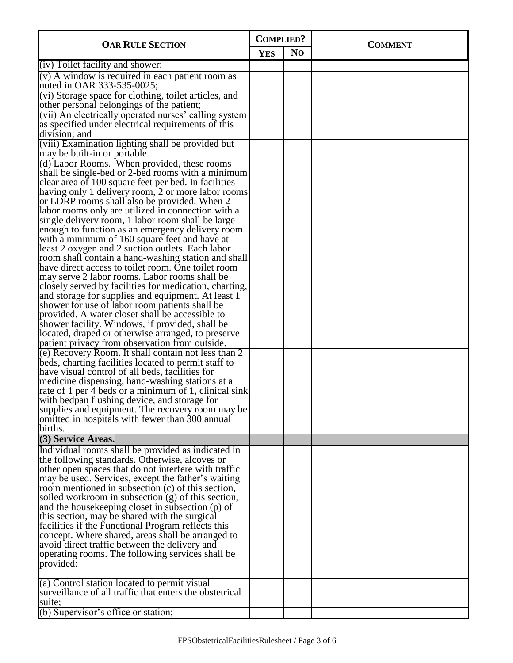| <b>OAR RULE SECTION</b>                                                                                 |            | <b>COMPLIED?</b> |                |
|---------------------------------------------------------------------------------------------------------|------------|------------------|----------------|
|                                                                                                         | <b>YES</b> | N <sub>O</sub>   | <b>COMMENT</b> |
| (iv) Toilet facility and shower;                                                                        |            |                  |                |
| $(v)$ A window is required in each patient room as                                                      |            |                  |                |
| noted in OAR 333-535-0025;                                                                              |            |                  |                |
| (vi) Storage space for clothing, toilet articles, and<br>other personal belongings of the patient;      |            |                  |                |
| (vii) An electrically operated nurses' calling system                                                   |            |                  |                |
| as specified under electrical requirements of this                                                      |            |                  |                |
| division; and                                                                                           |            |                  |                |
| (viii) Examination lighting shall be provided but                                                       |            |                  |                |
| may be built-in or portable.                                                                            |            |                  |                |
| (d) Labor Rooms. When provided, these rooms<br>shall be single-bed or 2-bed rooms with a minimum        |            |                  |                |
| clear area of 100 square feet per bed. In facilities                                                    |            |                  |                |
| having only 1 delivery room, 2 or more labor rooms                                                      |            |                  |                |
| or LDRP rooms shall also be provided. When 2                                                            |            |                  |                |
| labor rooms only are utilized in connection with a                                                      |            |                  |                |
| single delivery room, 1 labor room shall be large                                                       |            |                  |                |
| enough to function as an emergency delivery room<br>with a minimum of 160 square feet and have at       |            |                  |                |
| least 2 oxygen and 2 suction outlets. Each labor                                                        |            |                  |                |
| room shall contain a hand-washing station and shall                                                     |            |                  |                |
| have direct access to toilet room. One toilet room                                                      |            |                  |                |
| may serve 2 labor rooms. Labor rooms shall be                                                           |            |                  |                |
| closely served by facilities for medication, charting,                                                  |            |                  |                |
| and storage for supplies and equipment. At least 1<br>shower for use of labor room patients shall be    |            |                  |                |
| provided. A water closet shall be accessible to                                                         |            |                  |                |
| shower facility. Windows, if provided, shall be                                                         |            |                  |                |
| located, draped or otherwise arranged, to preserve                                                      |            |                  |                |
| patient privacy from observation from outside.                                                          |            |                  |                |
| (e) Recovery Room. It shall contain not less than $2$                                                   |            |                  |                |
| beds, charting facilities located to permit staff to<br>have visual control of all beds, facilities for |            |                  |                |
| medicine dispensing, hand-washing stations at a                                                         |            |                  |                |
| rate of 1 per 4 beds or a minimum of 1, clinical sink                                                   |            |                  |                |
| with bedpan flushing device, and storage for                                                            |            |                  |                |
| supplies and equipment. The recovery room may be                                                        |            |                  |                |
| omitted in hospitals with fewer than 300 annual                                                         |            |                  |                |
| births.<br>(3) Service Areas.                                                                           |            |                  |                |
| Individual rooms shall be provided as indicated in                                                      |            |                  |                |
| the following standards. Otherwise, alcoves or                                                          |            |                  |                |
| other open spaces that do not interfere with traffic                                                    |            |                  |                |
| may be used. Services, except the father's waiting                                                      |            |                  |                |
| room mentioned in subsection (c) of this section,                                                       |            |                  |                |
| soiled workroom in subsection (g) of this section,                                                      |            |                  |                |
| and the house keeping closet in subsection (p) of<br>this section, may be shared with the surgical      |            |                  |                |
| facilities if the Functional Program reflects this                                                      |            |                  |                |
| concept. Where shared, areas shall be arranged to                                                       |            |                  |                |
| avoid direct traffic between the delivery and                                                           |            |                  |                |
| operating rooms. The following services shall be                                                        |            |                  |                |
| provided:                                                                                               |            |                  |                |
| (a) Control station located to permit visual                                                            |            |                  |                |
| surveillance of all traffic that enters the obstetrical                                                 |            |                  |                |
| suite;                                                                                                  |            |                  |                |
| (b) Supervisor's office or station;                                                                     |            |                  |                |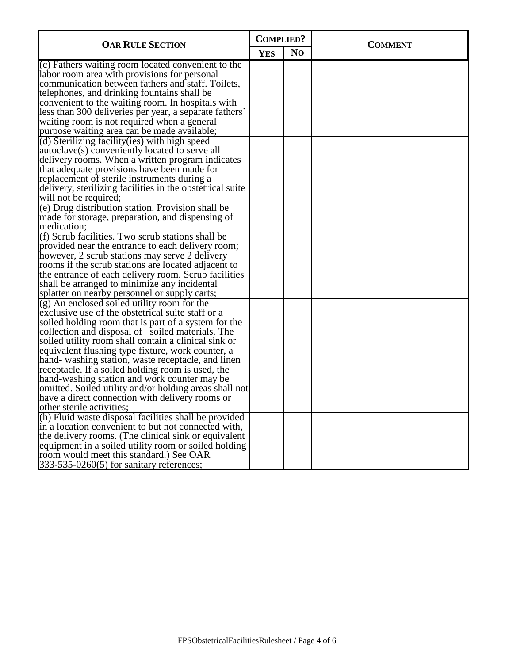| <b>COMPLIED?</b><br><b>OAR RULE SECTION</b>                                                                                                                                                                                                                                                                                                                                                                                                                                                                                                                                                                                      |            | <b>COMMENT</b> |  |
|----------------------------------------------------------------------------------------------------------------------------------------------------------------------------------------------------------------------------------------------------------------------------------------------------------------------------------------------------------------------------------------------------------------------------------------------------------------------------------------------------------------------------------------------------------------------------------------------------------------------------------|------------|----------------|--|
|                                                                                                                                                                                                                                                                                                                                                                                                                                                                                                                                                                                                                                  | <b>YES</b> | N <sub>O</sub> |  |
| (c) Fathers waiting room located convenient to the<br>labor room area with provisions for personal<br>communication between fathers and staff. Toilets,<br>telephones, and drinking fountains shall be<br>convenient to the waiting room. In hospitals with<br>less than 300 deliveries per year, a separate fathers'<br>waiting room is not required when a general<br>purpose waiting area can be made available;                                                                                                                                                                                                              |            |                |  |
| (d) Sterilizing facility(ies) with high speed<br>autoclave(s) conveniently located to serve all<br>delivery rooms. When a written program indicates<br>that adequate provisions have been made for<br>replacement of sterile instruments during a<br>delivery, sterilizing facilities in the obstetrical suite<br>will not be required;                                                                                                                                                                                                                                                                                          |            |                |  |
| (e) Drug distribution station. Provision shall be<br>made for storage, preparation, and dispensing of<br>medication;                                                                                                                                                                                                                                                                                                                                                                                                                                                                                                             |            |                |  |
| (f) Scrub facilities. Two scrub stations shall be<br>provided near the entrance to each delivery room;<br>however, 2 scrub stations may serve 2 delivery<br>rooms if the scrub stations are located adjacent to<br>the entrance of each delivery room. Scrub facilities<br>shall be arranged to minimize any incidental<br>splatter on nearby personnel or supply carts;                                                                                                                                                                                                                                                         |            |                |  |
| $(g)$ An enclosed soiled utility room for the<br>exclusive use of the obstetrical suite staff or a<br>soiled holding room that is part of a system for the<br>collection and disposal of soiled materials. The<br>soiled utility room shall contain a clinical sink or<br>equivalent flushing type fixture, work counter, a<br>hand- washing station, waste receptacle, and linen<br>receptacle. If a soiled holding room is used, the<br>hand-washing station and work counter may be<br>omitted. Soiled utility and/or holding areas shall not<br>have a direct connection with delivery rooms or<br>other sterile activities; |            |                |  |
| (h) Fluid waste disposal facilities shall be provided<br>in a location convenient to but not connected with,<br>the delivery rooms. (The clinical sink or equivalent<br>equipment in a soiled utility room or soiled holding<br>room would meet this standard.) See OAR<br>333-535-0260(5) for sanitary references;                                                                                                                                                                                                                                                                                                              |            |                |  |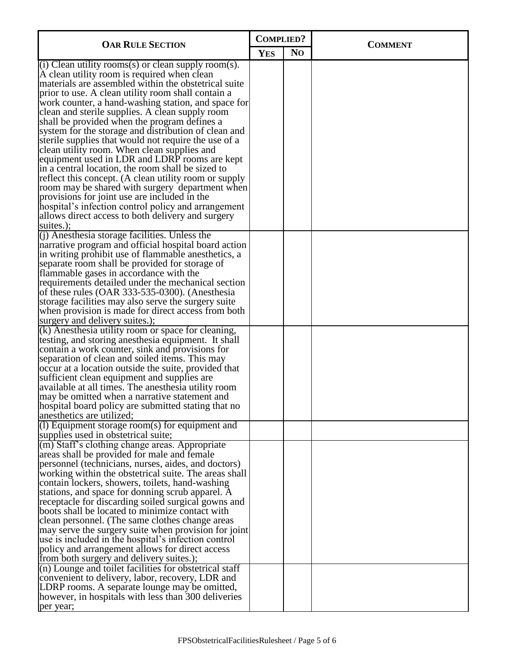| <b>OAR RULE SECTION</b>                                                                                                                                                                                                                                                                                                                                                                                                                                                                                                                                                                                                                                                                                                                                                                                                                                                                                                              | <b>COMPLIED?</b> |                | <b>COMMENT</b> |
|--------------------------------------------------------------------------------------------------------------------------------------------------------------------------------------------------------------------------------------------------------------------------------------------------------------------------------------------------------------------------------------------------------------------------------------------------------------------------------------------------------------------------------------------------------------------------------------------------------------------------------------------------------------------------------------------------------------------------------------------------------------------------------------------------------------------------------------------------------------------------------------------------------------------------------------|------------------|----------------|----------------|
|                                                                                                                                                                                                                                                                                                                                                                                                                                                                                                                                                                                                                                                                                                                                                                                                                                                                                                                                      | <b>YES</b>       | N <sub>O</sub> |                |
| (i) Clean utility rooms(s) or clean supply room(s).<br>A clean utility room is required when clean<br>materials are assembled within the obstetrical suite<br>prior to use. A clean utility room shall contain a<br>work counter, a hand-washing station, and space for<br>clean and sterile supplies. A clean supply room<br>shall be provided when the program defines a<br>system for the storage and distribution of clean and<br>sterile supplies that would not require the use of a<br>clean utility room. When clean supplies and<br>equipment used in LDR and LDRP rooms are kept<br>in a central location, the room shall be sized to<br>reflect this concept. (A clean utility room or supply<br>room may be shared with surgery department when<br>provisions for joint use are included in the<br>hospital's infection control policy and arrangement<br>allows direct access to both delivery and surgery<br>suites.); |                  |                |                |
| $(i)$ Anesthesia storage facilities. Unless the<br>narrative program and official hospital board action<br>in writing prohibit use of flammable anesthetics, a<br>separate room shall be provided for storage of<br>flammable gases in accordance with the<br>requirements detailed under the mechanical section<br>of these rules (OAR 333-535-0300). (Anesthesia<br>storage facilities may also serve the surgery suite<br>when provision is made for direct access from both<br>surgery and delivery suites.);                                                                                                                                                                                                                                                                                                                                                                                                                    |                  |                |                |
| $(k)$ Anesthesia utility room or space for cleaning,<br>testing, and storing anesthesia equipment. It shall<br>contain a work counter, sink and provisions for<br>separation of clean and soiled items. This may<br>occur at a location outside the suite, provided that<br>sufficient clean equipment and supplies are<br>available at all times. The anesthesia utility room<br>may be omitted when a narrative statement and<br>hospital board policy are submitted stating that no<br>anesthetics are utilized;                                                                                                                                                                                                                                                                                                                                                                                                                  |                  |                |                |
| $(1)$ Equipment storage room(s) for equipment and<br>supplies used in obstetrical suite;                                                                                                                                                                                                                                                                                                                                                                                                                                                                                                                                                                                                                                                                                                                                                                                                                                             |                  |                |                |
| (m) Staff's clothing change areas. Appropriate<br>areas shall be provided for male and female<br>personnel (technicians, nurses, aides, and doctors)<br>working within the obstetrical suite. The areas shall<br>contain lockers, showers, toilets, hand-washing<br>stations, and space for donning scrub apparel. A<br>receptacle for discarding soiled surgical gowns and<br>boots shall be located to minimize contact with<br>clean personnel. (The same clothes change areas<br>may serve the surgery suite when provision for joint<br>use is included in the hospital's infection control<br>policy and arrangement allows for direct access<br>from both surgery and delivery suites.);                                                                                                                                                                                                                                      |                  |                |                |
| $(n)$ Lounge and toilet facilities for obstetrical staff<br>convenient to delivery, labor, recovery, LDR and<br>LDRP rooms. A separate lounge may be omitted,<br>however, in hospitals with less than 300 deliveries<br>per year;                                                                                                                                                                                                                                                                                                                                                                                                                                                                                                                                                                                                                                                                                                    |                  |                |                |